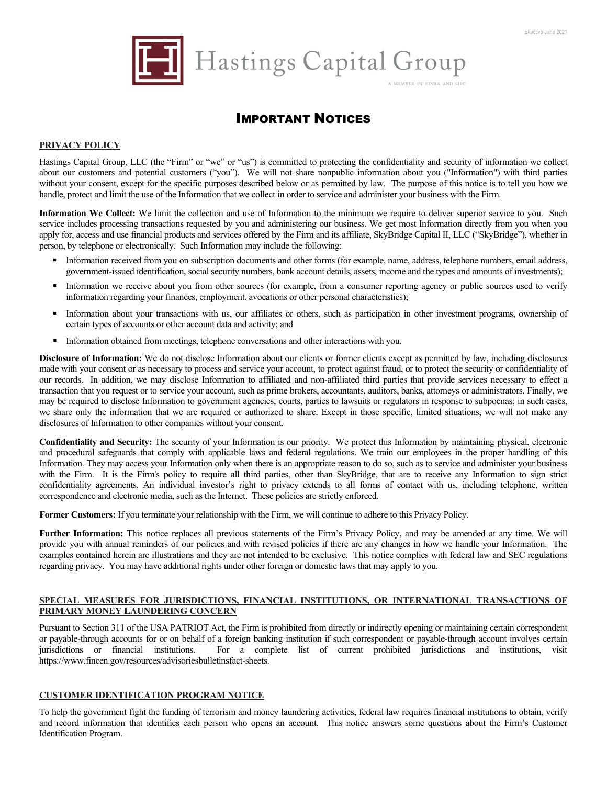

Hastings Capital Group

A MEMBER OF FINRA AND SIPO

# IMPORTANT NOTICES

#### **PRIVACY POLICY**

Hastings Capital Group, LLC (the "Firm" or "we" or "us") is committed to protecting the confidentiality and security of information we collect about our customers and potential customers ("you"). We will not share nonpublic information about you ("Information") with third parties without your consent, except for the specific purposes described below or as permitted by law. The purpose of this notice is to tell you how we handle, protect and limit the use of the Information that we collect in order to service and administer your business with the Firm.

Information We Collect: We limit the collection and use of Information to the minimum we require to deliver superior service to you. Such service includes processing transactions requested by you and administering our business. We get most Information directly from you when you apply for, access and use financial products and services offered by the Firm and its affiliate, SkyBridge Capital II, LLC ("SkyBridge"), whether in person, by telephone or electronically. Such Information may include the following:

- Information received from you on subscription documents and other forms (for example, name, address, telephone numbers, email address, government-issued identification, social security numbers, bank account details, assets, income and the types and amounts of investments);
- Information we receive about you from other sources (for example, from a consumer reporting agency or public sources used to verify information regarding your finances, employment, avocations or other personal characteristics);
- Information about your transactions with us, our affiliates or others, such as participation in other investment programs, ownership of certain types of accounts or other account data and activity; and
- Information obtained from meetings, telephone conversations and other interactions with you.

**Disclosure of Information:** We do not disclose Information about our clients or former clients except as permitted by law, including disclosures made with your consent or as necessary to process and service your account, to protect against fraud, or to protect the security or confidentiality of our records. In addition, we may disclose Information to affiliated and non-affiliated third parties that provide services necessary to effect a transaction that you request or to service your account, such as prime brokers, accountants, auditors, banks, attorneys or administrators. Finally, we may be required to disclose Information to government agencies, courts, parties to lawsuits or regulators in response to subpoenas; in such cases, we share only the information that we are required or authorized to share. Except in those specific, limited situations, we will not make any disclosures of Information to other companies without your consent.

**Confidentiality and Security:** The security of your Information is our priority. We protect this Information by maintaining physical, electronic and procedural safeguards that comply with applicable laws and federal regulations. We train our employees in the proper handling of this Information. They may access your Information only when there is an appropriate reason to do so, such as to service and administer your business with the Firm. It is the Firm's policy to require all third parties, other than SkyBridge, that are to receive any Information to sign strict confidentiality agreements. An individual investor's right to privacy extends to all forms of contact with us, including telephone, written correspondence and electronic media, such as the Internet. These policies are strictly enforced.

**Former Customers:** If you terminate your relationship with the Firm, we will continue to adhere to this Privacy Policy.

**Further Information:** This notice replaces all previous statements of the Firm's Privacy Policy, and may be amended at any time. We will provide you with annual reminders of our policies and with revised policies if there are any changes in how we handle your Information. The examples contained herein are illustrations and they are not intended to be exclusive. This notice complies with federal law and SEC regulations regarding privacy. You may have additional rights under other foreign or domestic laws that may apply to you.

#### **SPECIAL MEASURES FOR JURISDICTIONS, FINANCIAL INSTITUTIONS, OR INTERNATIONAL TRANSACTIONS OF PRIMARY MONEY LAUNDERING CONCERN**

Pursuant to Section 311 of the USA PATRIOT Act, the Firm is prohibited from directly or indirectly opening or maintaining certain correspondent or payable-through accounts for or on behalf of a foreign banking institution if such correspondent or payable-through account involves certain jurisdictions or financial institutions. For a complete list of current prohibited jurisdictions and institutions, visit https://www.fincen.gov/resources/advisoriesbulletinsfact-sheets.

#### **CUSTOMER IDENTIFICATION PROGRAM NOTICE**

To help the government fight the funding of terrorism and money laundering activities, federal law requires financial institutions to obtain, verify and record information that identifies each person who opens an account. This notice answers some questions about the Firm's Customer Identification Program.